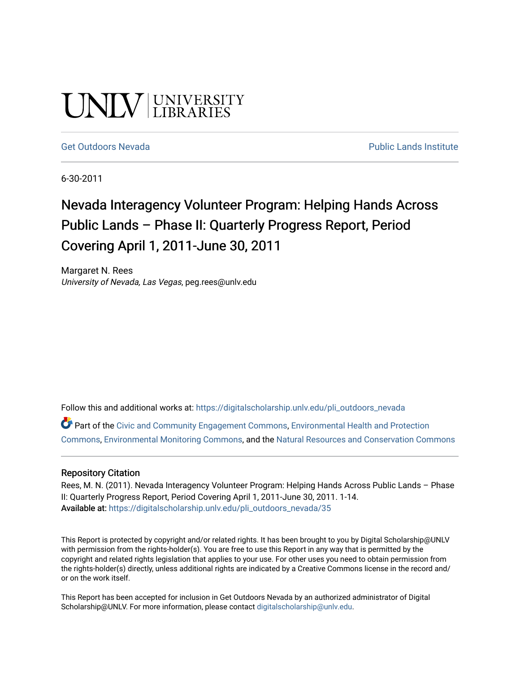# UNIV UNIVERSITY

#### [Get Outdoors Nevada](https://digitalscholarship.unlv.edu/pli_outdoors_nevada) **Public Lands Institute** Public Lands Institute

6-30-2011

# Nevada Interagency Volunteer Program: Helping Hands Across Public Lands – Phase II: Quarterly Progress Report, Period Covering April 1, 2011-June 30, 2011

Margaret N. Rees University of Nevada, Las Vegas, peg.rees@unlv.edu

Follow this and additional works at: [https://digitalscholarship.unlv.edu/pli\\_outdoors\\_nevada](https://digitalscholarship.unlv.edu/pli_outdoors_nevada?utm_source=digitalscholarship.unlv.edu%2Fpli_outdoors_nevada%2F35&utm_medium=PDF&utm_campaign=PDFCoverPages)

Part of the [Civic and Community Engagement Commons](http://network.bepress.com/hgg/discipline/1028?utm_source=digitalscholarship.unlv.edu%2Fpli_outdoors_nevada%2F35&utm_medium=PDF&utm_campaign=PDFCoverPages), [Environmental Health and Protection](http://network.bepress.com/hgg/discipline/172?utm_source=digitalscholarship.unlv.edu%2Fpli_outdoors_nevada%2F35&utm_medium=PDF&utm_campaign=PDFCoverPages)  [Commons](http://network.bepress.com/hgg/discipline/172?utm_source=digitalscholarship.unlv.edu%2Fpli_outdoors_nevada%2F35&utm_medium=PDF&utm_campaign=PDFCoverPages), [Environmental Monitoring Commons,](http://network.bepress.com/hgg/discipline/931?utm_source=digitalscholarship.unlv.edu%2Fpli_outdoors_nevada%2F35&utm_medium=PDF&utm_campaign=PDFCoverPages) and the [Natural Resources and Conservation Commons](http://network.bepress.com/hgg/discipline/168?utm_source=digitalscholarship.unlv.edu%2Fpli_outdoors_nevada%2F35&utm_medium=PDF&utm_campaign=PDFCoverPages)

#### Repository Citation

Rees, M. N. (2011). Nevada Interagency Volunteer Program: Helping Hands Across Public Lands – Phase II: Quarterly Progress Report, Period Covering April 1, 2011-June 30, 2011. 1-14. Available at: [https://digitalscholarship.unlv.edu/pli\\_outdoors\\_nevada/35](https://digitalscholarship.unlv.edu/pli_outdoors_nevada/35) 

This Report is protected by copyright and/or related rights. It has been brought to you by Digital Scholarship@UNLV with permission from the rights-holder(s). You are free to use this Report in any way that is permitted by the copyright and related rights legislation that applies to your use. For other uses you need to obtain permission from the rights-holder(s) directly, unless additional rights are indicated by a Creative Commons license in the record and/ or on the work itself.

This Report has been accepted for inclusion in Get Outdoors Nevada by an authorized administrator of Digital Scholarship@UNLV. For more information, please contact [digitalscholarship@unlv.edu.](mailto:digitalscholarship@unlv.edu)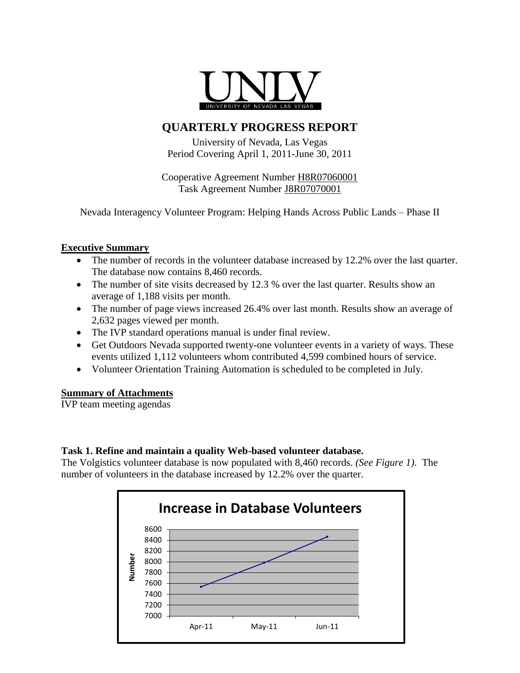

# **QUARTERLY PROGRESS REPORT**

University of Nevada, Las Vegas Period Covering April 1, 2011-June 30, 2011

Cooperative Agreement Number H8R07060001 Task Agreement Number J8R07070001

Nevada Interagency Volunteer Program: Helping Hands Across Public Lands – Phase II

# **Executive Summary**

- The number of records in the volunteer database increased by 12.2% over the last quarter. The database now contains 8,460 records.
- The number of site visits decreased by 12.3 % over the last quarter. Results show an average of 1,188 visits per month.
- The number of page views increased 26.4% over last month. Results show an average of 2,632 pages viewed per month.
- The IVP standard operations manual is under final review.
- Get Outdoors Nevada supported twenty-one volunteer events in a variety of ways. These events utilized 1,112 volunteers whom contributed 4,599 combined hours of service.
- Volunteer Orientation Training Automation is scheduled to be completed in July.

# **Summary of Attachments**

IVP team meeting agendas

# **Task 1. Refine and maintain a quality Web-based volunteer database.**

The Volgistics volunteer database is now populated with 8,460 records. *(See Figure 1)*. The number of volunteers in the database increased by 12.2% over the quarter.

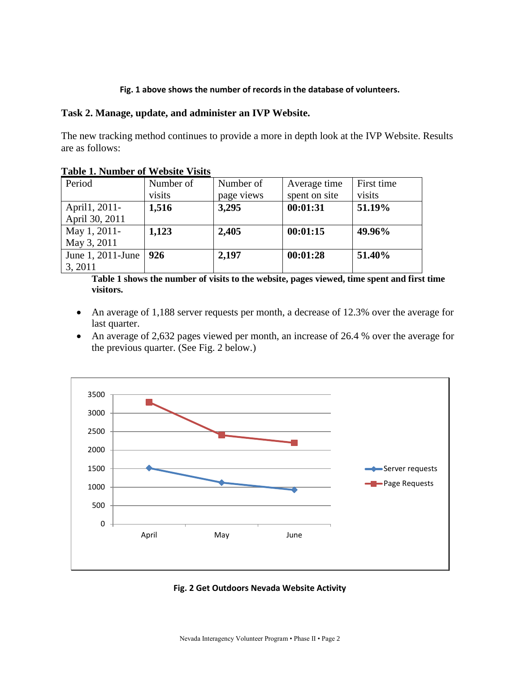#### **Fig. 1 above shows the number of records in the database of volunteers.**

#### **Task 2. Manage, update, and administer an IVP Website.**

The new tracking method continues to provide a more in depth look at the IVP Website. Results are as follows:

| Period            | Number of | Number of  | Average time  | First time |
|-------------------|-----------|------------|---------------|------------|
|                   | visits    | page views | spent on site | visits     |
| April1, 2011-     | 1,516     | 3,295      | 00:01:31      | 51.19%     |
| April 30, 2011    |           |            |               |            |
| May 1, 2011-      | 1,123     | 2,405      | 00:01:15      | 49.96%     |
| May 3, 2011       |           |            |               |            |
| June 1, 2011-June | 926       | 2,197      | 00:01:28      | 51.40%     |
| 3, 2011           |           |            |               |            |

**Table 1. Number of Website Visits**

**Table 1 shows the number of visits to the website, pages viewed, time spent and first time visitors.**

- An average of 1,188 server requests per month, a decrease of 12.3% over the average for last quarter.
- An average of 2,632 pages viewed per month, an increase of 26.4 % over the average for the previous quarter. (See Fig. 2 below.)



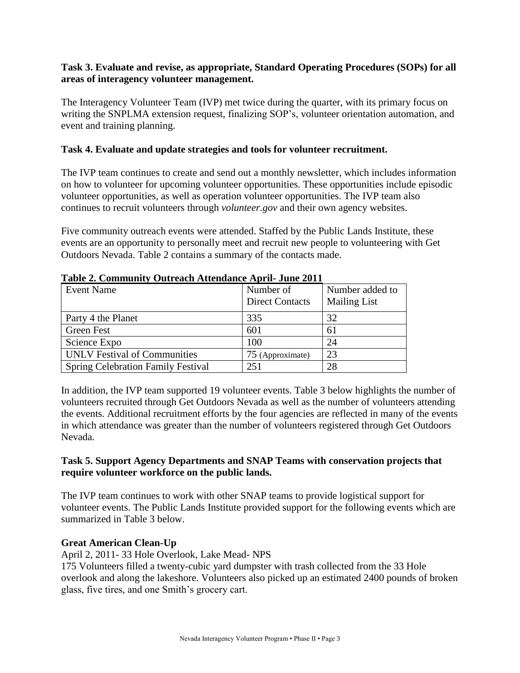# **Task 3. Evaluate and revise, as appropriate, Standard Operating Procedures (SOPs) for all areas of interagency volunteer management.**

The Interagency Volunteer Team (IVP) met twice during the quarter, with its primary focus on writing the SNPLMA extension request, finalizing SOP's, volunteer orientation automation, and event and training planning.

# **Task 4. Evaluate and update strategies and tools for volunteer recruitment.**

The IVP team continues to create and send out a monthly newsletter, which includes information on how to volunteer for upcoming volunteer opportunities. These opportunities include episodic volunteer opportunities, as well as operation volunteer opportunities. The IVP team also continues to recruit volunteers through *volunteer.gov* and their own agency websites.

Five community outreach events were attended. Staffed by the Public Lands Institute, these events are an opportunity to personally meet and recruit new people to volunteering with Get Outdoors Nevada. Table 2 contains a summary of the contacts made.

| <b>Event Name</b>                         | Number of<br><b>Direct Contacts</b> | Number added to<br><b>Mailing List</b> |
|-------------------------------------------|-------------------------------------|----------------------------------------|
| Party 4 the Planet                        | 335                                 | 32                                     |
| Green Fest                                | 601                                 | 61                                     |
| Science Expo                              | 100                                 | 24                                     |
| <b>UNLV</b> Festival of Communities       | 75 (Approximate)                    | 23                                     |
| <b>Spring Celebration Family Festival</b> | 251                                 | 28                                     |

**Table 2. Community Outreach Attendance April- June 2011**

In addition, the IVP team supported 19 volunteer events. Table 3 below highlights the number of volunteers recruited through Get Outdoors Nevada as well as the number of volunteers attending the events. Additional recruitment efforts by the four agencies are reflected in many of the events in which attendance was greater than the number of volunteers registered through Get Outdoors Nevada.

# **Task 5. Support Agency Departments and SNAP Teams with conservation projects that require volunteer workforce on the public lands.**

The IVP team continues to work with other SNAP teams to provide logistical support for volunteer events. The Public Lands Institute provided support for the following events which are summarized in Table 3 below.

# **Great American Clean-Up**

April 2, 2011- 33 Hole Overlook, Lake Mead- NPS

175 Volunteers filled a twenty-cubic yard dumpster with trash collected from the 33 Hole overlook and along the lakeshore. Volunteers also picked up an estimated 2400 pounds of broken glass, five tires, and one Smith's grocery cart.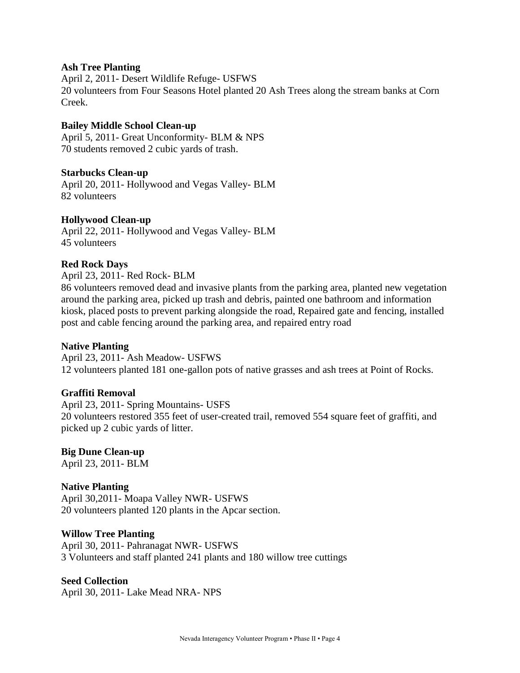#### **Ash Tree Planting**

April 2, 2011- Desert Wildlife Refuge- USFWS 20 volunteers from Four Seasons Hotel planted 20 Ash Trees along the stream banks at Corn Creek.

#### **Bailey Middle School Clean-up**

April 5, 2011- Great Unconformity- BLM & NPS 70 students removed 2 cubic yards of trash.

#### **Starbucks Clean-up**

April 20, 2011- Hollywood and Vegas Valley- BLM 82 volunteers

#### **Hollywood Clean-up**

April 22, 2011- Hollywood and Vegas Valley- BLM 45 volunteers

#### **Red Rock Days**

April 23, 2011- Red Rock- BLM

86 volunteers removed dead and invasive plants from the parking area, planted new vegetation around the parking area, picked up trash and debris, painted one bathroom and information kiosk, placed posts to prevent parking alongside the road, Repaired gate and fencing, installed post and cable fencing around the parking area, and repaired entry road

#### **Native Planting**

April 23, 2011- Ash Meadow- USFWS 12 volunteers planted 181 one-gallon pots of native grasses and ash trees at Point of Rocks.

#### **Graffiti Removal**

April 23, 2011- Spring Mountains- USFS 20 volunteers restored 355 feet of user-created trail, removed 554 square feet of graffiti, and picked up 2 cubic yards of litter.

# **Big Dune Clean-up**

April 23, 2011- BLM

# **Native Planting**

April 30,2011- Moapa Valley NWR- USFWS 20 volunteers planted 120 plants in the Apcar section.

#### **Willow Tree Planting**

April 30, 2011- Pahranagat NWR- USFWS 3 Volunteers and staff planted 241 plants and 180 willow tree cuttings

#### **Seed Collection**

April 30, 2011- Lake Mead NRA- NPS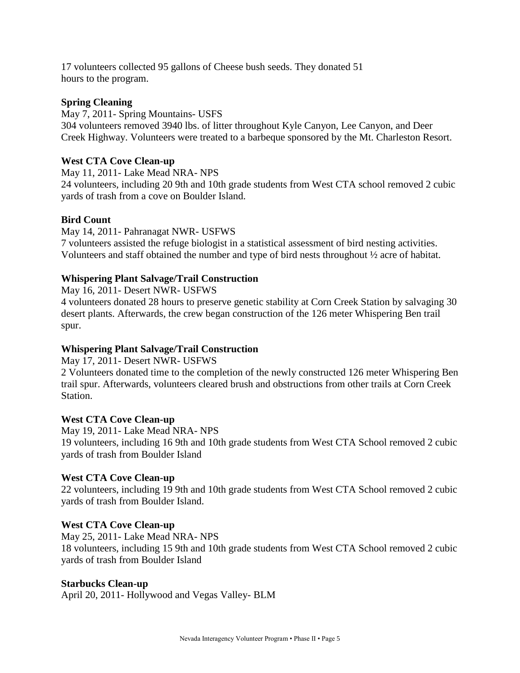17 volunteers collected 95 gallons of Cheese bush seeds. They donated 51 hours to the program.

# **Spring Cleaning**

May 7, 2011- Spring Mountains- USFS 304 volunteers removed 3940 lbs. of litter throughout Kyle Canyon, Lee Canyon, and Deer Creek Highway. Volunteers were treated to a barbeque sponsored by the Mt. Charleston Resort.

# **West CTA Cove Clean-up**

May 11, 2011- Lake Mead NRA- NPS 24 volunteers, including 20 9th and 10th grade students from West CTA school removed 2 cubic yards of trash from a cove on Boulder Island.

# **Bird Count**

May 14, 2011- Pahranagat NWR- USFWS 7 volunteers assisted the refuge biologist in a statistical assessment of bird nesting activities. Volunteers and staff obtained the number and type of bird nests throughout ½ acre of habitat.

# **Whispering Plant Salvage/Trail Construction**

May 16, 2011- Desert NWR- USFWS

4 volunteers donated 28 hours to preserve genetic stability at Corn Creek Station by salvaging 30 desert plants. Afterwards, the crew began construction of the 126 meter Whispering Ben trail spur.

# **Whispering Plant Salvage/Trail Construction**

May 17, 2011- Desert NWR- USFWS

2 Volunteers donated time to the completion of the newly constructed 126 meter Whispering Ben trail spur. Afterwards, volunteers cleared brush and obstructions from other trails at Corn Creek Station.

# **West CTA Cove Clean-up**

May 19, 2011- Lake Mead NRA- NPS 19 volunteers, including 16 9th and 10th grade students from West CTA School removed 2 cubic yards of trash from Boulder Island

# **West CTA Cove Clean-up**

22 volunteers, including 19 9th and 10th grade students from West CTA School removed 2 cubic yards of trash from Boulder Island.

# **West CTA Cove Clean-up**

May 25, 2011- Lake Mead NRA- NPS 18 volunteers, including 15 9th and 10th grade students from West CTA School removed 2 cubic yards of trash from Boulder Island

# **Starbucks Clean-up**

April 20, 2011- Hollywood and Vegas Valley- BLM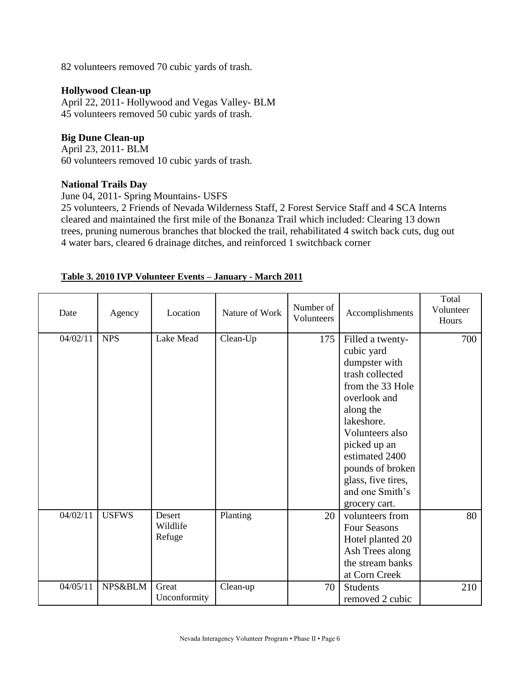82 volunteers removed 70 cubic yards of trash.

# **Hollywood Clean-up**

April 22, 2011- Hollywood and Vegas Valley- BLM 45 volunteers removed 50 cubic yards of trash.

# **Big Dune Clean-up**

April 23, 2011- BLM 60 volunteers removed 10 cubic yards of trash.

#### **National Trails Day**

June 04, 2011- Spring Mountains- USFS

25 volunteers, 2 Friends of Nevada Wilderness Staff, 2 Forest Service Staff and 4 SCA Interns cleared and maintained the first mile of the Bonanza Trail which included: Clearing 13 down trees, pruning numerous branches that blocked the trail, rehabilitated 4 switch back cuts, dug out 4 water bars, cleared 6 drainage ditches, and reinforced 1 switchback corner

| Date     | Agency       | Location                     | Nature of Work | Number of<br>Volunteers | Accomplishments                                                                                                                                                                                                                                                      | Total<br>Volunteer<br>Hours |
|----------|--------------|------------------------------|----------------|-------------------------|----------------------------------------------------------------------------------------------------------------------------------------------------------------------------------------------------------------------------------------------------------------------|-----------------------------|
| 04/02/11 | <b>NPS</b>   | Lake Mead                    | Clean-Up       | 175                     | Filled a twenty-<br>cubic yard<br>dumpster with<br>trash collected<br>from the 33 Hole<br>overlook and<br>along the<br>lakeshore.<br>Volunteers also<br>picked up an<br>estimated 2400<br>pounds of broken<br>glass, five tires,<br>and one Smith's<br>grocery cart. | 700                         |
| 04/02/11 | <b>USFWS</b> | Desert<br>Wildlife<br>Refuge | Planting       | 20                      | volunteers from<br><b>Four Seasons</b><br>Hotel planted 20<br>Ash Trees along<br>the stream banks<br>at Corn Creek                                                                                                                                                   | 80                          |
| 04/05/11 | NPS&BLM      | Great<br>Unconformity        | Clean-up       | 70                      | <b>Students</b><br>removed 2 cubic                                                                                                                                                                                                                                   | 210                         |

#### **Table 3. 2010 IVP Volunteer Events – January - March 2011**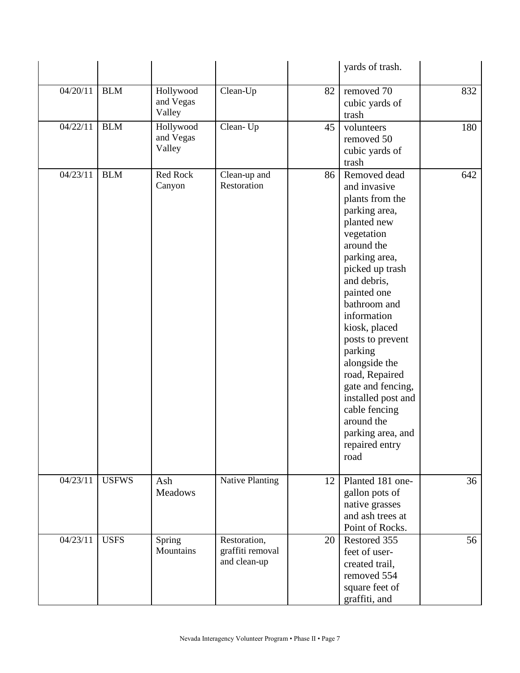|          |              |                                  |                                                  |    | yards of trash.                                                                                                                                                                                                                                                                                                                                                                                                          |     |
|----------|--------------|----------------------------------|--------------------------------------------------|----|--------------------------------------------------------------------------------------------------------------------------------------------------------------------------------------------------------------------------------------------------------------------------------------------------------------------------------------------------------------------------------------------------------------------------|-----|
| 04/20/11 | <b>BLM</b>   | Hollywood<br>and Vegas<br>Valley | Clean-Up                                         | 82 | removed 70<br>cubic yards of<br>trash                                                                                                                                                                                                                                                                                                                                                                                    | 832 |
| 04/22/11 | <b>BLM</b>   | Hollywood<br>and Vegas<br>Valley | Clean-Up                                         | 45 | volunteers<br>removed 50<br>cubic yards of<br>trash                                                                                                                                                                                                                                                                                                                                                                      | 180 |
| 04/23/11 | <b>BLM</b>   | Red Rock<br>Canyon               | Clean-up and<br>Restoration                      | 86 | Removed dead<br>and invasive<br>plants from the<br>parking area,<br>planted new<br>vegetation<br>around the<br>parking area,<br>picked up trash<br>and debris,<br>painted one<br>bathroom and<br>information<br>kiosk, placed<br>posts to prevent<br>parking<br>alongside the<br>road, Repaired<br>gate and fencing,<br>installed post and<br>cable fencing<br>around the<br>parking area, and<br>repaired entry<br>road | 642 |
| 04/23/11 | <b>USFWS</b> | Ash<br><b>Meadows</b>            | <b>Native Planting</b>                           | 12 | Planted 181 one-<br>gallon pots of<br>native grasses<br>and ash trees at<br>Point of Rocks.                                                                                                                                                                                                                                                                                                                              | 36  |
| 04/23/11 | <b>USFS</b>  | Spring<br>Mountains              | Restoration,<br>graffiti removal<br>and clean-up | 20 | Restored 355<br>feet of user-<br>created trail,<br>removed 554<br>square feet of<br>graffiti, and                                                                                                                                                                                                                                                                                                                        | 56  |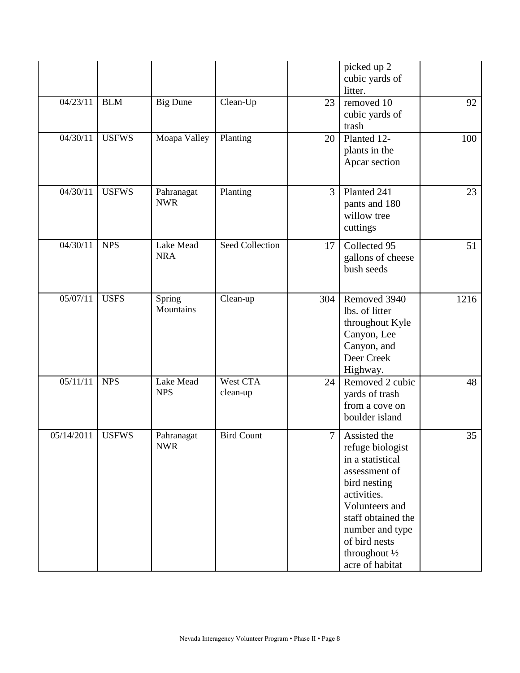|            |              |                          |                        |        | picked up 2<br>cubic yards of<br>litter.                                                                                                                                                                              |      |
|------------|--------------|--------------------------|------------------------|--------|-----------------------------------------------------------------------------------------------------------------------------------------------------------------------------------------------------------------------|------|
| 04/23/11   | <b>BLM</b>   | <b>Big Dune</b>          | Clean-Up               | 23     | removed 10<br>cubic yards of<br>trash                                                                                                                                                                                 | 92   |
| 04/30/11   | <b>USFWS</b> | Moapa Valley             | Planting               | 20     | Planted 12-<br>plants in the<br>Apcar section                                                                                                                                                                         | 100  |
| 04/30/11   | <b>USFWS</b> | Pahranagat<br><b>NWR</b> | Planting               | 3      | Planted 241<br>pants and 180<br>willow tree<br>cuttings                                                                                                                                                               | 23   |
| 04/30/11   | <b>NPS</b>   | Lake Mead<br><b>NRA</b>  | <b>Seed Collection</b> | 17     | Collected 95<br>gallons of cheese<br>bush seeds                                                                                                                                                                       | 51   |
| 05/07/11   | <b>USFS</b>  | Spring<br>Mountains      | Clean-up               | 304    | Removed 3940<br>lbs. of litter<br>throughout Kyle<br>Canyon, Lee<br>Canyon, and<br>Deer Creek<br>Highway.                                                                                                             | 1216 |
| 05/11/11   | <b>NPS</b>   | Lake Mead<br><b>NPS</b>  | West CTA<br>clean-up   | 24     | Removed 2 cubic<br>yards of trash<br>from a cove on<br>boulder island                                                                                                                                                 | 48   |
| 05/14/2011 | <b>USFWS</b> | Pahranagat<br><b>NWR</b> | <b>Bird Count</b>      | $\tau$ | Assisted the<br>refuge biologist<br>in a statistical<br>assessment of<br>bird nesting<br>activities.<br>Volunteers and<br>staff obtained the<br>number and type<br>of bird nests<br>throughout 1/2<br>acre of habitat | 35   |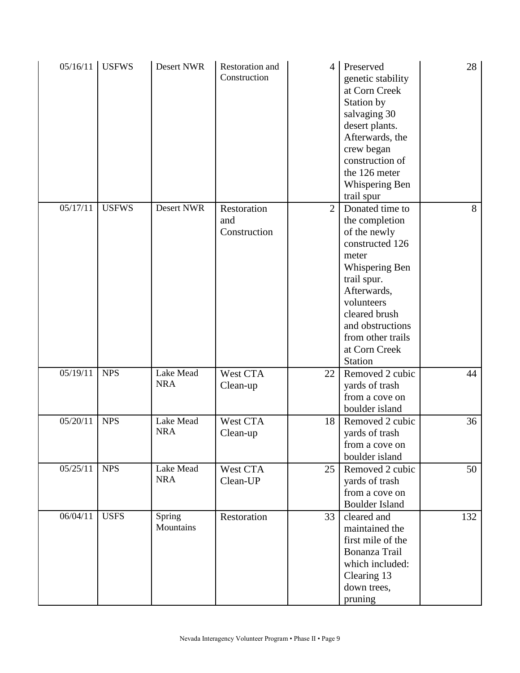| 05/16/11 | <b>USFWS</b> | Desert NWR              | Restoration and<br>Construction    | $\overline{4}$ | Preserved<br>genetic stability<br>at Corn Creek<br>Station by<br>salvaging 30<br>desert plants.<br>Afterwards, the<br>crew began<br>construction of<br>the 126 meter<br>Whispering Ben<br>trail spur                                     | 28  |
|----------|--------------|-------------------------|------------------------------------|----------------|------------------------------------------------------------------------------------------------------------------------------------------------------------------------------------------------------------------------------------------|-----|
| 05/17/11 | <b>USFWS</b> | Desert NWR              | Restoration<br>and<br>Construction | 2              | Donated time to<br>the completion<br>of the newly<br>constructed 126<br>meter<br>Whispering Ben<br>trail spur.<br>Afterwards,<br>volunteers<br>cleared brush<br>and obstructions<br>from other trails<br>at Corn Creek<br><b>Station</b> | 8   |
| 05/19/11 | <b>NPS</b>   | Lake Mead<br><b>NRA</b> | West CTA<br>Clean-up               | 22             | Removed 2 cubic<br>yards of trash<br>from a cove on<br>boulder island                                                                                                                                                                    | 44  |
| 05/20/11 | <b>NPS</b>   | Lake Mead<br><b>NRA</b> | West CTA<br>Clean-up               | 18             | Removed 2 cubic<br>yards of trash<br>from a cove on<br>boulder island                                                                                                                                                                    | 36  |
| 05/25/11 | <b>NPS</b>   | Lake Mead<br><b>NRA</b> | West CTA<br>Clean-UP               | 25             | Removed 2 cubic<br>yards of trash<br>from a cove on<br><b>Boulder Island</b>                                                                                                                                                             | 50  |
| 06/04/11 | <b>USFS</b>  | Spring<br>Mountains     | Restoration                        | 33             | cleared and<br>maintained the<br>first mile of the<br>Bonanza Trail<br>which included:<br>Clearing 13<br>down trees,<br>pruning                                                                                                          | 132 |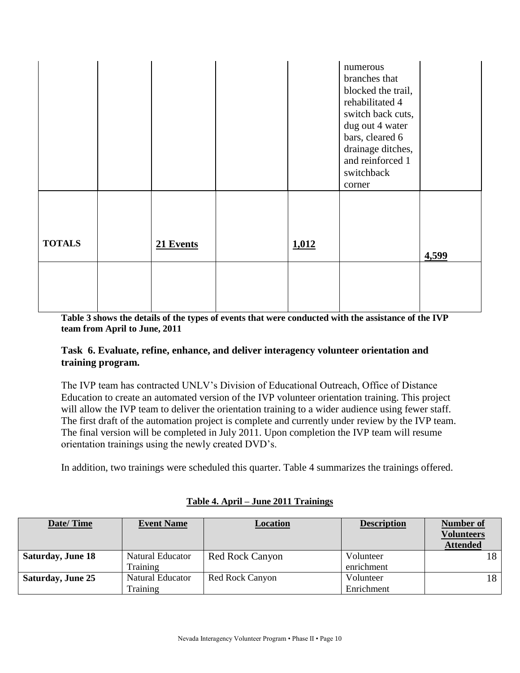|               |           |       | numerous<br>branches that<br>blocked the trail,<br>rehabilitated 4<br>switch back cuts,<br>dug out 4 water<br>bars, cleared 6<br>drainage ditches,<br>and reinforced 1<br>switchback<br>corner |       |
|---------------|-----------|-------|------------------------------------------------------------------------------------------------------------------------------------------------------------------------------------------------|-------|
| <b>TOTALS</b> | 21 Events | 1,012 |                                                                                                                                                                                                | 4,599 |

**Table 3 shows the details of the types of events that were conducted with the assistance of the IVP team from April to June, 2011**

# **Task 6. Evaluate, refine, enhance, and deliver interagency volunteer orientation and training program.**

The IVP team has contracted UNLV's Division of Educational Outreach, Office of Distance Education to create an automated version of the IVP volunteer orientation training. This project will allow the IVP team to deliver the orientation training to a wider audience using fewer staff. The first draft of the automation project is complete and currently under review by the IVP team. The final version will be completed in July 2011. Upon completion the IVP team will resume orientation trainings using the newly created DVD's.

In addition, two trainings were scheduled this quarter. Table 4 summarizes the trainings offered.

| Date/Time                | <b>Event Name</b> | Location               | <b>Description</b> | <b>Number of</b><br><b>Volunteers</b><br><b>Attended</b> |
|--------------------------|-------------------|------------------------|--------------------|----------------------------------------------------------|
| <b>Saturday, June 18</b> | Natural Educator  | <b>Red Rock Canyon</b> | Volunteer          | 18 I                                                     |
|                          | Training          |                        | enrichment         |                                                          |
| <b>Saturday, June 25</b> | Natural Educator  | Red Rock Canyon        | Volunteer          | 18                                                       |
|                          | Training          |                        | Enrichment         |                                                          |

# **Table 4. April – June 2011 Trainings**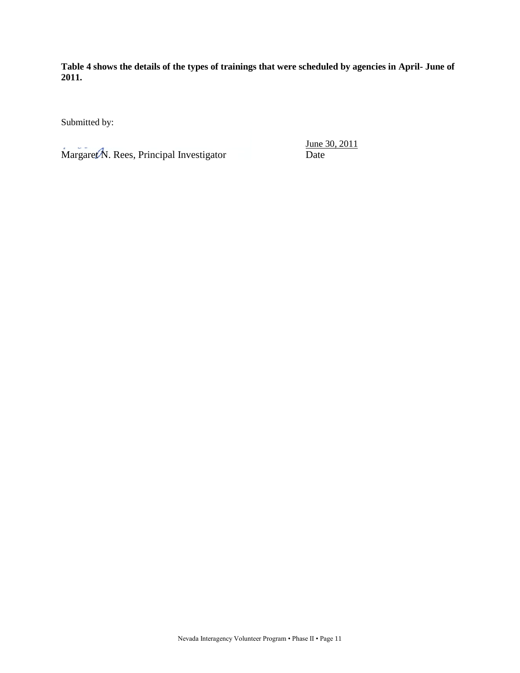**Table 4 shows the details of the types of trainings that were scheduled by agencies in April- June of 2011.** 

Submitted by:

Margaret N. Rees, Principal Investigator Date

June 30, 2011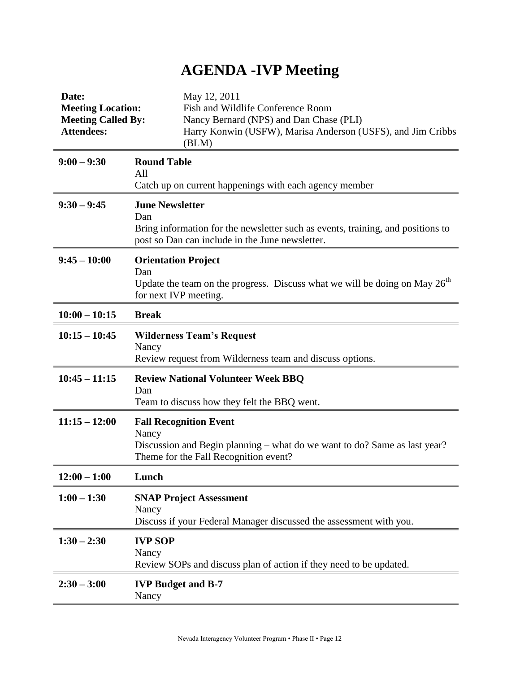# **AGENDA -IVP Meeting**

| Date:<br><b>Meeting Location:</b><br><b>Meeting Called By:</b><br><b>Attendees:</b> | May 12, 2011<br>Fish and Wildlife Conference Room<br>Nancy Bernard (NPS) and Dan Chase (PLI)<br>Harry Konwin (USFW), Marisa Anderson (USFS), and Jim Cribbs<br>(BLM) |
|-------------------------------------------------------------------------------------|----------------------------------------------------------------------------------------------------------------------------------------------------------------------|
| $9:00 - 9:30$                                                                       | <b>Round Table</b><br>All<br>Catch up on current happenings with each agency member                                                                                  |
| $9:30 - 9:45$                                                                       | <b>June Newsletter</b><br>Dan<br>Bring information for the newsletter such as events, training, and positions to<br>post so Dan can include in the June newsletter.  |
| $9:45 - 10:00$                                                                      | <b>Orientation Project</b><br>Dan<br>Update the team on the progress. Discuss what we will be doing on May $26th$<br>for next IVP meeting.                           |
| $10:00 - 10:15$                                                                     | <b>Break</b>                                                                                                                                                         |
| $10:15 - 10:45$                                                                     | <b>Wilderness Team's Request</b><br>Nancy<br>Review request from Wilderness team and discuss options.                                                                |
| $10:45 - 11:15$                                                                     | <b>Review National Volunteer Week BBQ</b><br>Dan<br>Team to discuss how they felt the BBQ went.                                                                      |
| $11:15 - 12:00$                                                                     | <b>Fall Recognition Event</b><br>Nancy<br>Discussion and Begin planning – what do we want to do? Same as last year?<br>Theme for the Fall Recognition event?         |
| $12:00 - 1:00$                                                                      | Lunch                                                                                                                                                                |
| $1:00 - 1:30$                                                                       | <b>SNAP Project Assessment</b><br>Nancy<br>Discuss if your Federal Manager discussed the assessment with you.                                                        |
| $1:30 - 2:30$                                                                       | <b>IVP SOP</b><br>Nancy<br>Review SOPs and discuss plan of action if they need to be updated.                                                                        |
| $2:30 - 3:00$                                                                       | <b>IVP Budget and B-7</b><br>Nancy                                                                                                                                   |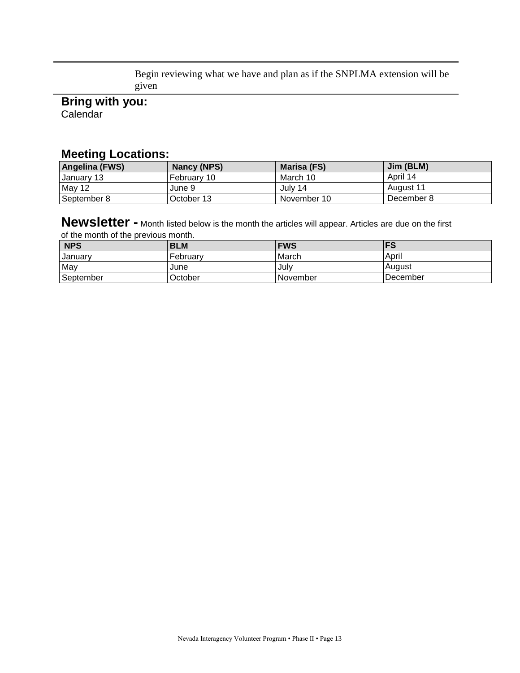Begin reviewing what we have and plan as if the SNPLMA extension will be given

**Bring with you: Calendar** 

# **Meeting Locations:**

| <b>Angelina (FWS)</b> | Nancy (NPS) | Marisa (FS) | Jim (BLM)  |
|-----------------------|-------------|-------------|------------|
| <b>January 13</b>     | February 10 | March 10    | April 14   |
| May 12                | June 9      | July 14     | August 11  |
| September 8           | October 13  | November 10 | December 8 |

**Newsletter -** Month listed below is the month the articles will appear. Articles are due on the first of the month of the previous month.

| NPS       | <b>BLM</b> | <b>FWS</b> | l FS     |
|-----------|------------|------------|----------|
| January   | February   | March      | April    |
| May       | June       | July       | August   |
| September | October    | i November | December |